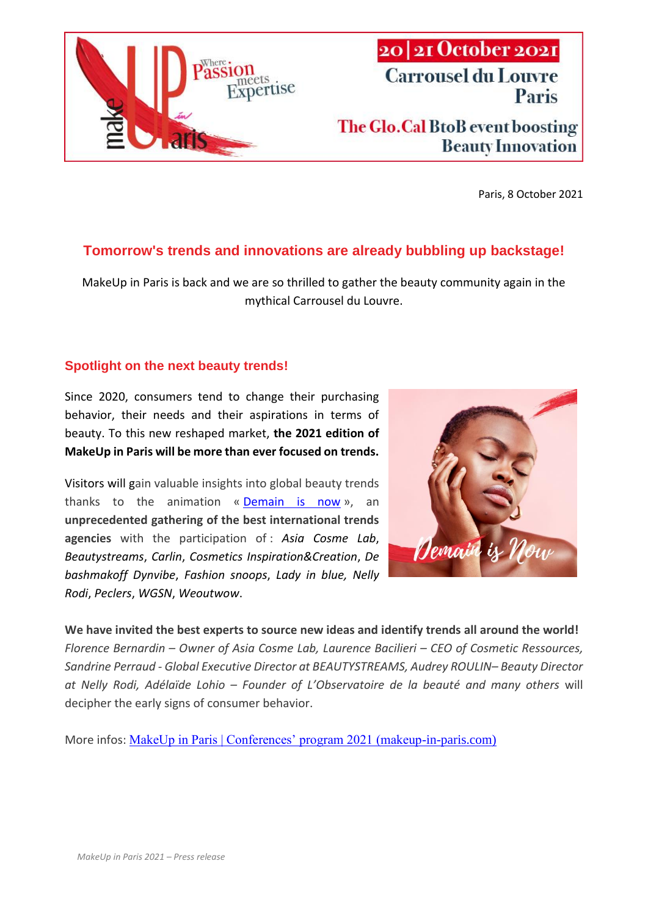

# 20 21 October 2021 **Carrousel du Louvre** Paris The Glo.Cal BtoB event boosting

Paris, 8 October 2021

**Beauty Innovation** 

## **Tomorrow's trends and innovations are already bubbling up backstage!**

MakeUp in Paris is back and we are so thrilled to gather the beauty community again in the mythical Carrousel du Louvre.

#### **Spotlight on the next beauty trends!**

Since 2020, consumers tend to change their purchasing behavior, their needs and their aspirations in terms of beauty. To this new reshaped market, **the 2021 edition of MakeUp in Paris will be more than ever focused on trends.**

Visitors will gain valuable insights into global beauty trends thanks to the animation  $\kappa$  **[Demain is now](https://makeup-in-paris.com/events/demain-is-now-2/)** », an **unprecedented gathering of the best international trends agencies** with the participation of : *Asia Cosme Lab*, *Beautystreams*, *Carlin*, *Cosmetics Inspiration&Creation*, *De bashmakoff Dynvibe*, *Fashion snoops*, *Lady in blue, Nelly Rodi*, *Peclers*, *WGSN*, *Weoutwow*.



**We have invited the best experts to source new ideas and identify trends all around the world!** *Florence Bernardin – Owner of Asia Cosme Lab, Laurence Bacilieri – CEO of Cosmetic Ressources, Sandrine Perraud - Global Executive Director at BEAUTYSTREAMS, Audrey ROULIN– Beauty Director at Nelly Rodi, Adélaïde Lohio – Founder of L'Observatoire de la beauté and many others* will decipher the early signs of consumer behavior.

More infos: [MakeUp in Paris | Conferences' program 2021 \(makeup-in-paris.com\)](https://makeup-in-paris.com/events/conferences-program/)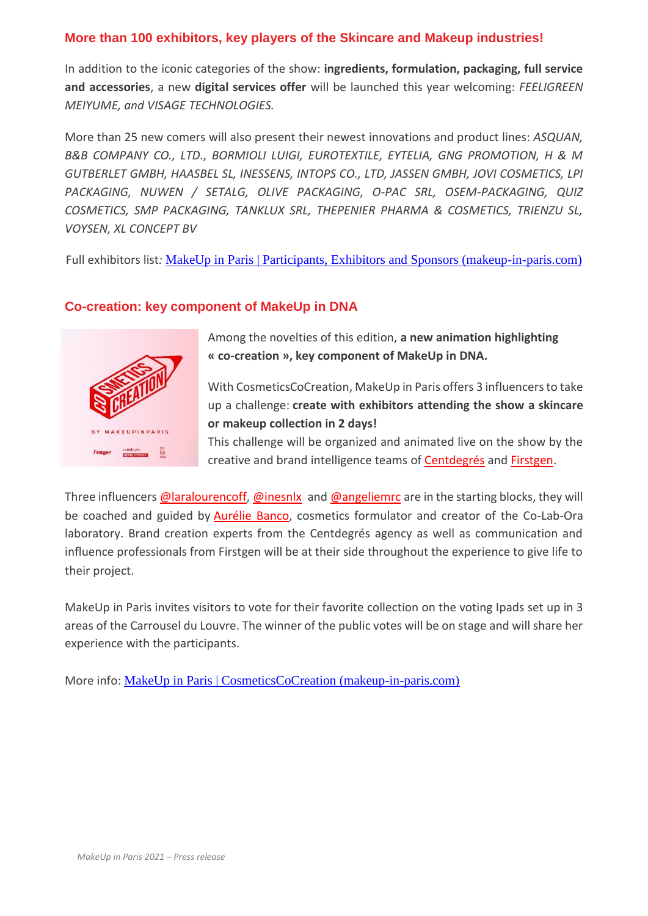#### **More than 100 exhibitors, key players of the Skincare and Makeup industries!**

In addition to the iconic categories of the show: **ingredients, formulation, packaging, full service and accessories**, a new **digital services offer** will be launched this year welcoming: *FEELIGREEN MEIYUME, and VISAGE TECHNOLOGIES.* 

More than 25 new comers will also present their newest innovations and product lines: *ASQUAN, B&B COMPANY CO., LTD., BORMIOLI LUIGI, EUROTEXTILE, EYTELIA, GNG PROMOTION, H & M GUTBERLET GMBH, HAASBEL SL, INESSENS, INTOPS CO., LTD, JASSEN GMBH, JOVI COSMETICS, LPI PACKAGING, NUWEN / SETALG, OLIVE PACKAGING, O-PAC SRL, OSEM-PACKAGING, QUIZ COSMETICS, SMP PACKAGING, TANKLUX SRL, THEPENIER PHARMA & COSMETICS, TRIENZU SL, VOYSEN, XL CONCEPT BV*

Full exhibitors list*:* [MakeUp in Paris | Participants, Exhibitors and Sponsors \(makeup-in-paris.com\)](https://makeup-in-paris.com/participants-en/)

#### **Co-creation: key component of MakeUp in DNA**



Among the novelties of this edition, **a new animation highlighting « co-creation », key component of MakeUp in DNA.**

With CosmeticsCoCreation, MakeUp in Paris offers 3 influencers to take up a challenge: **create with exhibitors attending the show a skincare or makeup collection in 2 days!**

This challenge will be organized and animated live on the show by the creative and brand intelligence teams of [Centdegrés](https://centdegres.com/) and [Firstgen.](https://www.firstgen.co/)

Three influencers [@laralourencoff,](https://www.instagram.com/laralourencoff/?hl=en) [@inesnlx](https://www.instagram.com/inesnlx/?hl=en) and [@angeliemrc](https://www.instagram.com/angeliemrc/?hl=en) are in the starting blocks, they will be coached and guided by [Aurélie](https://www.linkedin.com/in/aureliebanco/) Banco, cosmetics formulator and creator of the Co-Lab-Ora laboratory. Brand creation experts from the Centdegrés agency as well as communication and influence professionals from Firstgen will be at their side throughout the experience to give life to their project.

MakeUp in Paris invites visitors to vote for their favorite collection on the voting Ipads set up in 3 areas of the Carrousel du Louvre. The winner of the public votes will be on stage and will share her experience with the participants.

More info: [MakeUp in Paris | CosmeticsCoCreation \(makeup-in-paris.com\)](https://makeup-in-paris.com/events/cosmeticscocreation-2/)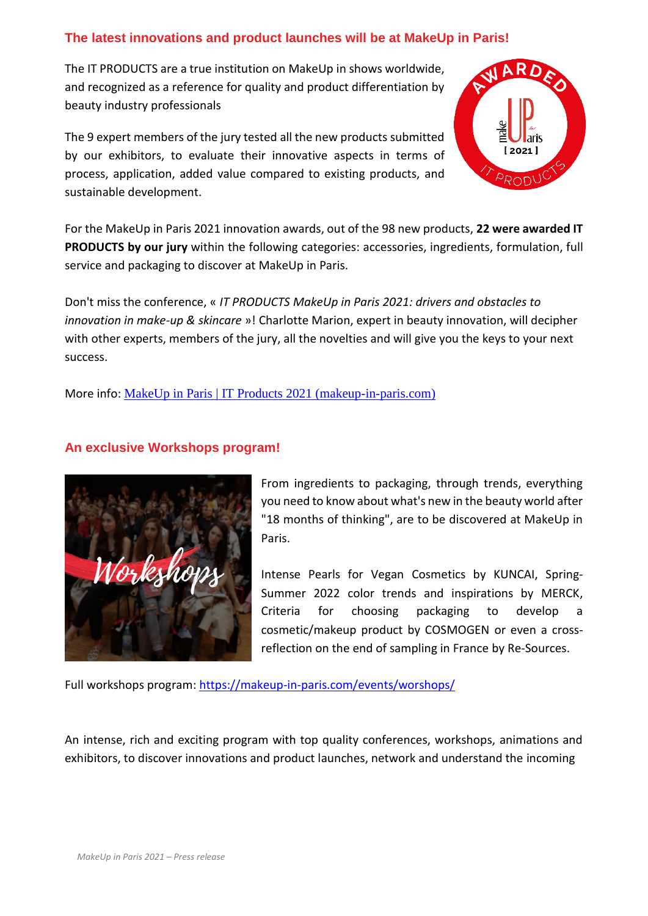### **The latest innovations and product launches will be at MakeUp in Paris!**

The IT PRODUCTS are a true institution on MakeUp in shows worldwide, and recognized as a reference for quality and product differentiation by beauty industry professionals

The 9 expert members of the jury tested all the new products submitted by our exhibitors, to evaluate their innovative aspects in terms of process, application, added value compared to existing products, and sustainable development.



For the MakeUp in Paris 2021 innovation awards, out of the 98 new products, **22 were awarded IT PRODUCTS by our jury** within the following categories: accessories, ingredients, formulation, full service and packaging to discover at MakeUp in Paris.

Don't miss the conference, « *IT PRODUCTS MakeUp in Paris 2021: drivers and obstacles to innovation in make-up & skincare* »! Charlotte Marion, expert in beauty innovation, will decipher with other experts, members of the jury, all the novelties and will give you the keys to your next success.

More info: [MakeUp in Paris | IT Products 2021 \(makeup-in-paris.com\)](https://makeup-in-paris.com/events/it-products-2/)

#### **An exclusive Workshops program!**



From ingredients to packaging, through trends, everything you need to know about what's new in the beauty world after "18 months of thinking", are to be discovered at MakeUp in Paris.

Intense Pearls for Vegan Cosmetics by KUNCAI, Spring-Summer 2022 color trends and inspirations by MERCK, Criteria for choosing packaging to develop a cosmetic/makeup product by COSMOGEN or even a crossreflection on the end of sampling in France by Re-Sources.

Full workshops program:<https://makeup-in-paris.com/events/worshops/>

An intense, rich and exciting program with top quality conferences, workshops, animations and exhibitors, to discover innovations and product launches, network and understand the incoming